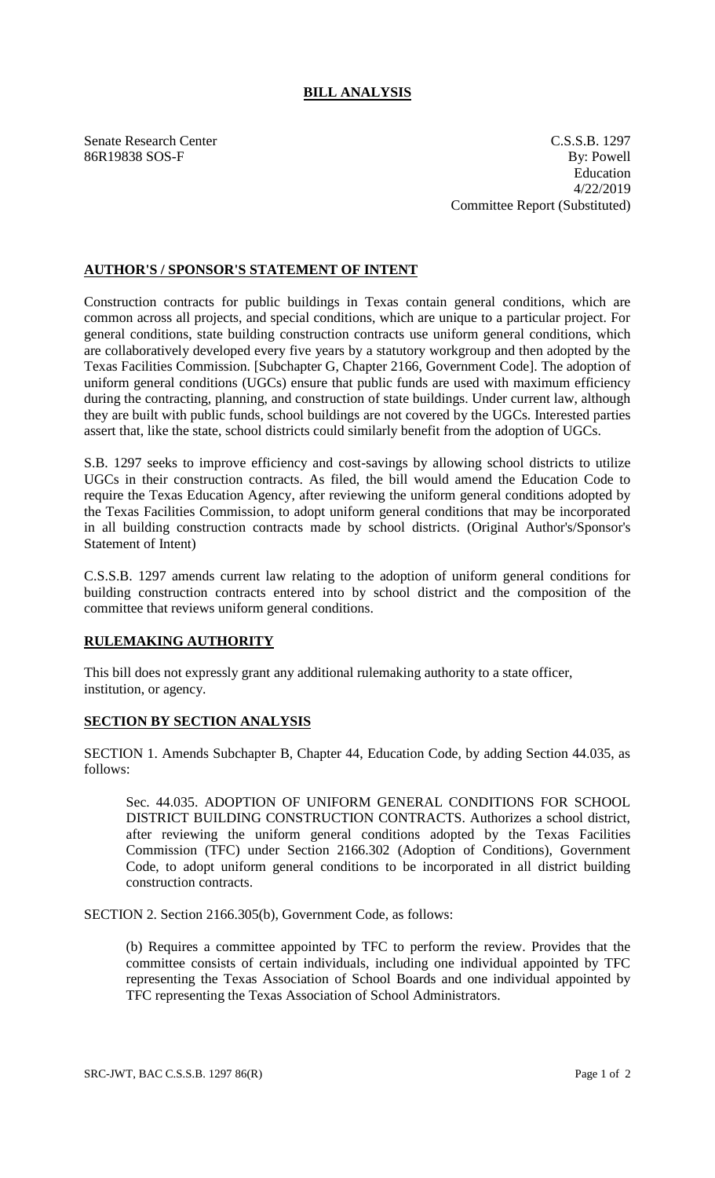## **BILL ANALYSIS**

Senate Research Center C.S.S.B. 1297 86R19838 SOS-F By: Powell Education 4/22/2019 Committee Report (Substituted)

## **AUTHOR'S / SPONSOR'S STATEMENT OF INTENT**

Construction contracts for public buildings in Texas contain general conditions, which are common across all projects, and special conditions, which are unique to a particular project. For general conditions, state building construction contracts use uniform general conditions, which are collaboratively developed every five years by a statutory workgroup and then adopted by the Texas Facilities Commission. [Subchapter G, Chapter 2166, Government Code]. The adoption of uniform general conditions (UGCs) ensure that public funds are used with maximum efficiency during the contracting, planning, and construction of state buildings. Under current law, although they are built with public funds, school buildings are not covered by the UGCs. Interested parties assert that, like the state, school districts could similarly benefit from the adoption of UGCs.

S.B. 1297 seeks to improve efficiency and cost-savings by allowing school districts to utilize UGCs in their construction contracts. As filed, the bill would amend the Education Code to require the Texas Education Agency, after reviewing the uniform general conditions adopted by the Texas Facilities Commission, to adopt uniform general conditions that may be incorporated in all building construction contracts made by school districts. (Original Author's/Sponsor's Statement of Intent)

C.S.S.B. 1297 amends current law relating to the adoption of uniform general conditions for building construction contracts entered into by school district and the composition of the committee that reviews uniform general conditions.

## **RULEMAKING AUTHORITY**

This bill does not expressly grant any additional rulemaking authority to a state officer, institution, or agency.

## **SECTION BY SECTION ANALYSIS**

SECTION 1. Amends Subchapter B, Chapter 44, Education Code, by adding Section 44.035, as follows:

Sec. 44.035. ADOPTION OF UNIFORM GENERAL CONDITIONS FOR SCHOOL DISTRICT BUILDING CONSTRUCTION CONTRACTS. Authorizes a school district, after reviewing the uniform general conditions adopted by the Texas Facilities Commission (TFC) under Section 2166.302 (Adoption of Conditions), Government Code, to adopt uniform general conditions to be incorporated in all district building construction contracts.

SECTION 2. Section 2166.305(b), Government Code, as follows:

(b) Requires a committee appointed by TFC to perform the review. Provides that the committee consists of certain individuals, including one individual appointed by TFC representing the Texas Association of School Boards and one individual appointed by TFC representing the Texas Association of School Administrators.